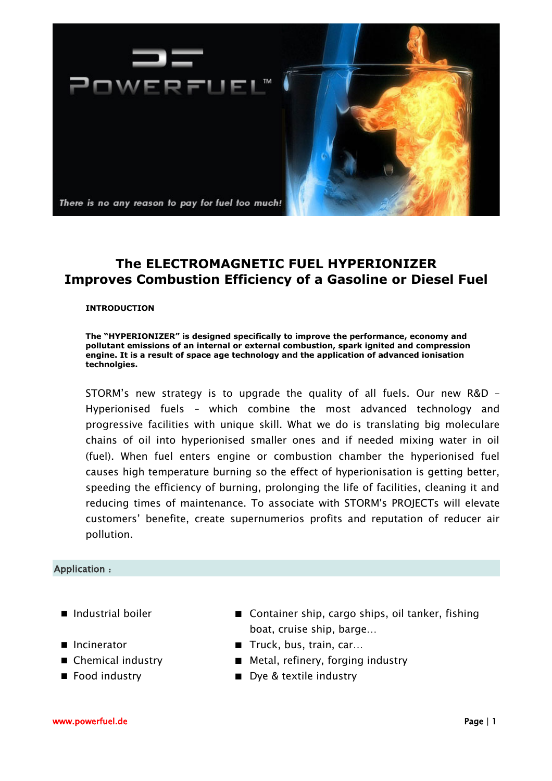

## **The ELECTROMAGNETIC FUEL HYPERIONIZER Improves Combustion Efficiency of a Gasoline or Diesel Fuel**

## **INTRODUCTION**

**The "HYPERIONIZER" is designed specifically to improve the performance, economy and pollutant emissions of an internal or external combustion, spark ignited and compression engine. It is a result of space age technology and the application of advanced ionisation technolgies.**

STORM's new strategy is to upgrade the quality of all fuels. Our new R&D – Hyperionised fuels – which combine the most advanced technology and progressive facilities with unique skill. What we do is translating big moleculare chains of oil into hyperionised smaller ones and if needed mixing water in oil (fuel). When fuel enters engine or combustion chamber the hyperionised fuel causes high temperature burning so the effect of hyperionisation is getting better, speeding the efficiency of burning, prolonging the life of facilities, cleaning it and reducing times of maintenance. To associate with STORM's PROJECTs will elevate customers' benefite, create supernumerios profits and reputation of reducer air pollution.

## Application :

- 
- 
- 
- 
- Industrial boiler Container ship, cargo ships, oil tanker, fishing boat, cruise ship, barge…
- Incinerator Truck, bus, train, car...
- Chemical industry Metal, refinery, forging industry
- Food industry Dye & textile industry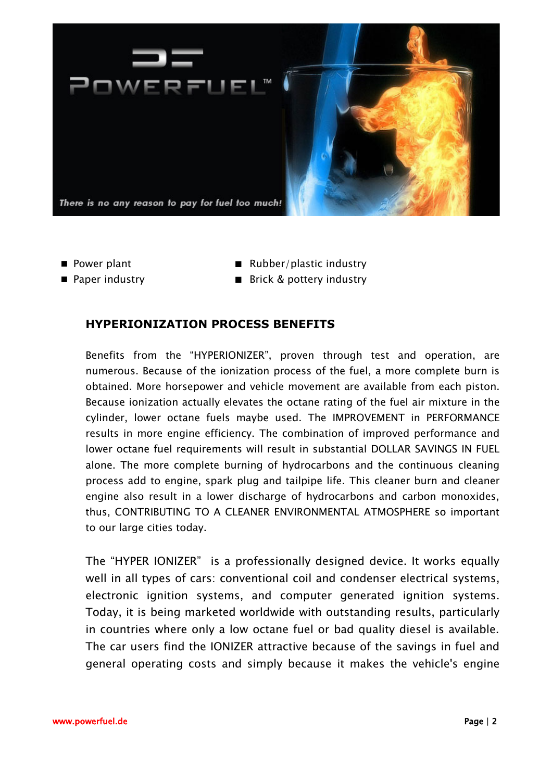

- 
- 
- Power plant Rubber/plastic industry
- Paper industry Brick & pottery industry

## **HYPERIONIZATION PROCESS BENEFITS**

Benefits from the "HYPERIONIZER", proven through test and operation, are numerous. Because of the ionization process of the fuel, a more complete burn is obtained. More horsepower and vehicle movement are available from each piston. Because ionization actually elevates the octane rating of the fuel air mixture in the cylinder, lower octane fuels maybe used. The IMPROVEMENT in PERFORMANCE results in more engine efficiency. The combination of improved performance and lower octane fuel requirements will result in substantial DOLLAR SAVINGS IN FUEL alone. The more complete burning of hydrocarbons and the continuous cleaning process add to engine, spark plug and tailpipe life. This cleaner burn and cleaner engine also result in a lower discharge of hydrocarbons and carbon monoxides, thus, CONTRIBUTING TO A CLEANER ENVIRONMENTAL ATMOSPHERE so important to our large cities today.

The "HYPER IONIZER" is a professionally designed device. It works equally well in all types of cars: conventional coil and condenser electrical systems, electronic ignition systems, and computer generated ignition systems. Today, it is being marketed worldwide with outstanding results, particularly in countries where only a low octane fuel or bad quality diesel is available. The car users find the IONIZER attractive because of the savings in fuel and general operating costs and simply because it makes the vehicle's engine